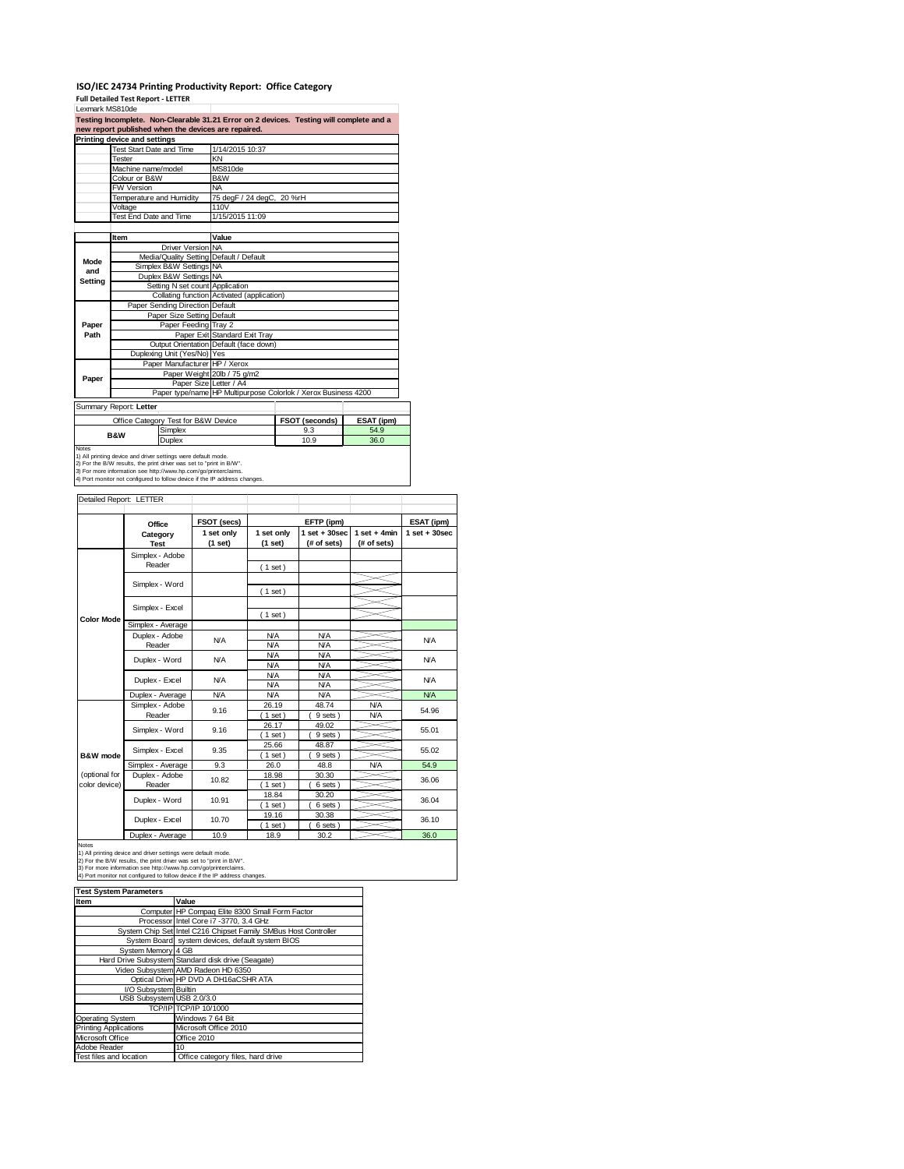## **ISO/IEC 24734 Printing Productivity Report: Office Category Full Detailed Test Report ‐ LETTER** Lexmark MS810de

|         | Printing device and settings<br>Test Start Date and Time |                                     | 1/14/2015 10:37                            |                                                                |            |  |  |
|---------|----------------------------------------------------------|-------------------------------------|--------------------------------------------|----------------------------------------------------------------|------------|--|--|
|         | Tester                                                   |                                     | KN                                         |                                                                |            |  |  |
|         | Machine name/model                                       |                                     | MS810de                                    |                                                                |            |  |  |
|         | Colour or B&W                                            |                                     | B&W                                        |                                                                |            |  |  |
|         | <b>FW Version</b>                                        |                                     | <b>NA</b>                                  |                                                                |            |  |  |
|         | Temperature and Humidity                                 |                                     | 75 degF / 24 degC, 20 %rH                  |                                                                |            |  |  |
|         | Voltage                                                  |                                     | 110V                                       |                                                                |            |  |  |
|         | Test End Date and Time                                   |                                     | 1/15/2015 11:09                            |                                                                |            |  |  |
|         |                                                          |                                     |                                            |                                                                |            |  |  |
|         | Item                                                     |                                     | Value                                      |                                                                |            |  |  |
|         |                                                          | Driver Version NA                   |                                            |                                                                |            |  |  |
| Mode    |                                                          |                                     | Media/Quality Setting Default / Default    |                                                                |            |  |  |
| and     |                                                          | Simplex B&W Settings NA             |                                            |                                                                |            |  |  |
| Settina |                                                          | Duplex B&W Settings NA              |                                            |                                                                |            |  |  |
|         |                                                          | Setting N set count Application     | Collating function Activated (application) |                                                                |            |  |  |
|         |                                                          | Paper Sending Direction Default     |                                            |                                                                |            |  |  |
|         |                                                          | Paper Size Setting Default          |                                            |                                                                |            |  |  |
| Paper   |                                                          | Paper Feeding Tray 2                |                                            |                                                                |            |  |  |
| Path    |                                                          |                                     | Paper Exit Standard Exit Tray              |                                                                |            |  |  |
|         |                                                          |                                     | Output Orientation Default (face down)     |                                                                |            |  |  |
|         |                                                          | Duplexing Unit (Yes/No) Yes         |                                            |                                                                |            |  |  |
|         |                                                          | Paper Manufacturer HP / Xerox       |                                            |                                                                |            |  |  |
|         |                                                          |                                     | Paper Weight 20lb / 75 g/m2                |                                                                |            |  |  |
| Paper   |                                                          | Paper Size Letter / A4              |                                            |                                                                |            |  |  |
|         |                                                          |                                     |                                            | Paper type/name HP Multipurpose Colorlok / Xerox Business 4200 |            |  |  |
|         | Summary Report: Letter                                   |                                     |                                            |                                                                |            |  |  |
|         |                                                          | Office Category Test for B&W Device |                                            | FSOT (seconds)                                                 | ESAT (ipm) |  |  |
|         |                                                          | Simplex                             |                                            | 9.3                                                            | 54.9       |  |  |
|         | <b>B&amp;W</b>                                           | Duplex                              |                                            | 10.9                                                           | 36.0       |  |  |

Notes<br>1) All printing device and driver settings were default mode.<br>2) For the B/W results, the print driver was set to "print in B/W".<br>3) For more information see http://www.hp.com/go/printerclaims.<br>4) Port monitor not co

|                                |                                   | FSOT (secs)           |                          | EFTP (ipm)                       |                               | ESAT (ipm)         |
|--------------------------------|-----------------------------------|-----------------------|--------------------------|----------------------------------|-------------------------------|--------------------|
|                                | Office<br>Category<br><b>Test</b> | 1 set only<br>(1 set) | 1 set only<br>(1 set)    | $1$ set $+30$ sec<br>(# of sets) | $1$ set + 4min<br>(# of sets) | $1$ set + $30$ sec |
|                                | Simplex - Adobe<br>Reader         |                       | (1 set)                  |                                  |                               |                    |
|                                | Simplex - Word                    |                       | (1 set)                  |                                  |                               |                    |
|                                | Simplex - Excel                   |                       | (1 set)                  |                                  |                               |                    |
| <b>Color Mode</b>              | Simplex - Average                 |                       |                          |                                  |                               |                    |
|                                | Duplex - Adobe<br>Reader          | <b>N/A</b>            | <b>N/A</b><br>N/A        | <b>N/A</b><br><b>N/A</b>         |                               | <b>N/A</b>         |
|                                | Duplex - Word                     | <b>N/A</b>            | <b>N/A</b><br><b>N/A</b> | <b>N/A</b><br><b>N/A</b>         |                               | N/A                |
|                                | Duplex - Excel                    | <b>N/A</b>            | <b>N/A</b><br><b>N/A</b> | <b>N/A</b><br><b>N/A</b>         |                               | <b>N/A</b>         |
|                                | Duplex - Average                  | <b>N/A</b>            | <b>N/A</b>               | <b>N/A</b>                       |                               | <b>N/A</b>         |
|                                | Simplex - Adobe<br>Reader         | 9.16                  | 26.19<br>$1$ set)        | 48.74<br>9 sets)                 | N/A<br>N/A                    | 54.96              |
|                                | Simplex - Word                    | 9.16                  | 26.17<br>$1$ set)        | 49.02<br>9 sets)                 |                               | 55.01              |
| B&W mode                       | Simplex - Excel                   | 9.35                  | 25.66<br>$1$ set)        | 48.87<br>9 sets)                 |                               | 55.02              |
|                                | Simplex - Average                 | 9.3                   | 26.0                     | 48.8                             | N/A                           | 54.9               |
| (optional for<br>color device) | Duplex - Adobe<br>Reader          | 10.82                 | 18.98<br>$1$ set)        | 30.30<br>6 sets)                 |                               | 36.06              |
|                                | Duplex - Word                     | 10.91                 | 18.84<br>$1$ set)        | 30.20<br>6 sets)                 |                               | 36.04              |
|                                | Duplex - Excel                    | 10.70                 | 19.16<br>$1$ set)        | 30.38<br>6 sets)                 |                               | 36.10              |
|                                | Det and the con-<br>$\lambda$     | $\sim$                | $\sim$                   | $\sim$ $\sim$                    |                               | $\sim$ $\sim$      |

Duplex - Average | 10.9 | 18.9 | 30.2 | 36.0 36.0<br>1) All printing device and driver settings were default mode.<br>2) For the BAV results, the print driver was set to "print in BAV".<br>3) For more information see http://www.hp

|  | <b>Test System Parameters</b> |
|--|-------------------------------|
|  |                               |

| <b>Test System Parameters</b> |                                                                 |
|-------------------------------|-----------------------------------------------------------------|
| Item                          | Value                                                           |
|                               | Computer HP Compaq Elite 8300 Small Form Factor                 |
|                               | Processor Intel Core i7 -3770, 3.4 GHz                          |
|                               | System Chip Set Intel C216 Chipset Family SMBus Host Controller |
|                               | System Board system devices, default system BIOS                |
| System Memory 4 GB            |                                                                 |
|                               | Hard Drive Subsystem Standard disk drive (Seagate)              |
|                               | Video Subsystem AMD Radeon HD 6350                              |
|                               | Optical Drive HP DVD A DH16aCSHR ATA                            |
| I/O Subsystem Builtin         |                                                                 |
| USB Subsystem USB 2.0/3.0     |                                                                 |
|                               | TCP/IP TCP/IP 10/1000                                           |
| Operating System              | Windows 7 64 Bit                                                |
| <b>Printing Applications</b>  | Microsoft Office 2010                                           |
| Microsoft Office              | Office 2010                                                     |
| Adobe Reader                  | 10                                                              |
| Test files and location       | Office category files, hard drive                               |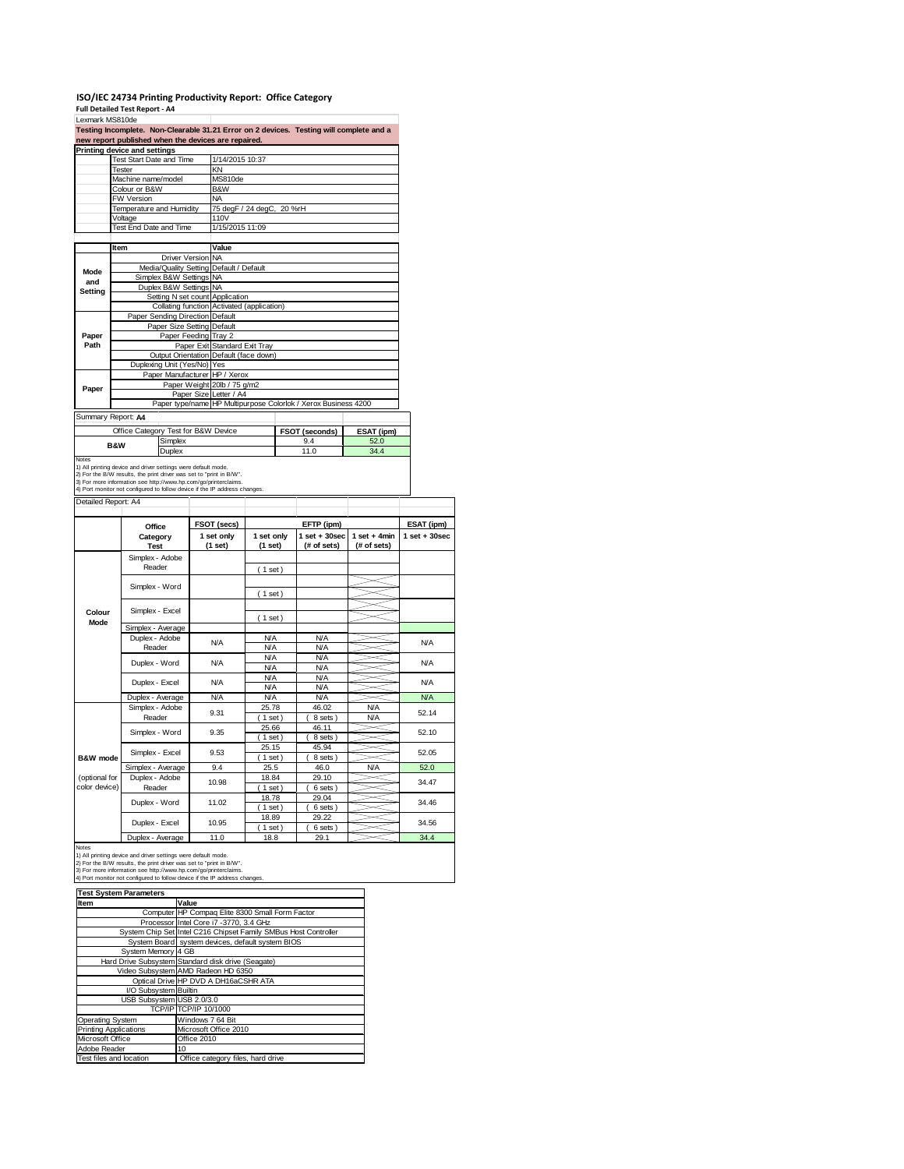## **ISO/IEC 24734 Printing Productivity Report: Office Category Full Detailed Test Report ‐ A4**

|                                                       | Printing device and settings<br><b>Test Start Date and Time</b>                                                                                                                                        |                      | 1/14/2015 10:37                                                               |                          |                                                                |                 |                        |
|-------------------------------------------------------|--------------------------------------------------------------------------------------------------------------------------------------------------------------------------------------------------------|----------------------|-------------------------------------------------------------------------------|--------------------------|----------------------------------------------------------------|-----------------|------------------------|
|                                                       | Tester                                                                                                                                                                                                 |                      | KN                                                                            |                          |                                                                |                 |                        |
|                                                       | Machine name/model                                                                                                                                                                                     |                      | MS810de                                                                       |                          |                                                                |                 |                        |
|                                                       | Colour or B&W                                                                                                                                                                                          |                      | B&W                                                                           |                          |                                                                |                 |                        |
|                                                       | FW Version<br>Temperature and Humidity                                                                                                                                                                 |                      | NA<br>75 degF / 24 degC, 20 %rH                                               |                          |                                                                |                 |                        |
|                                                       | Voltage                                                                                                                                                                                                |                      | 110V                                                                          |                          |                                                                |                 |                        |
|                                                       | Test End Date and Time                                                                                                                                                                                 |                      | 1/15/2015 11:09                                                               |                          |                                                                |                 |                        |
|                                                       |                                                                                                                                                                                                        |                      |                                                                               |                          |                                                                |                 |                        |
|                                                       | Item                                                                                                                                                                                                   | Driver Version NA    | Value                                                                         |                          |                                                                |                 |                        |
|                                                       |                                                                                                                                                                                                        |                      | Media/Quality Setting Default / Default                                       |                          |                                                                |                 |                        |
| Mode<br>and                                           | Simplex B&W Settings                                                                                                                                                                                   |                      | <b>NA</b>                                                                     |                          |                                                                |                 |                        |
| Setting                                               | Duplex B&W Settings                                                                                                                                                                                    |                      | <b>NA</b>                                                                     |                          |                                                                |                 |                        |
|                                                       |                                                                                                                                                                                                        |                      | Setting N set count Application<br>Collating function Activated (application) |                          |                                                                |                 |                        |
|                                                       | Paper Sending Direction Default                                                                                                                                                                        |                      |                                                                               |                          |                                                                |                 |                        |
|                                                       |                                                                                                                                                                                                        |                      | Paper Size Setting Default                                                    |                          |                                                                |                 |                        |
| Paper                                                 |                                                                                                                                                                                                        | Paper Feeding Tray 2 |                                                                               |                          |                                                                |                 |                        |
| Path                                                  |                                                                                                                                                                                                        |                      | Paper Exit Standard Exit Tray                                                 |                          |                                                                |                 |                        |
|                                                       | Duplexing Unit (Yes/No) Yes                                                                                                                                                                            |                      | Output Orientation Default (face down)                                        |                          |                                                                |                 |                        |
|                                                       |                                                                                                                                                                                                        |                      | Paper Manufacturer HP / Xerox                                                 |                          |                                                                |                 |                        |
| Paper                                                 |                                                                                                                                                                                                        |                      | Paper Weight 20lb / 75 g/m2                                                   |                          |                                                                |                 |                        |
|                                                       |                                                                                                                                                                                                        |                      | Paper Size Letter / A4                                                        |                          |                                                                |                 |                        |
|                                                       |                                                                                                                                                                                                        |                      |                                                                               |                          | Paper type/name HP Multipurpose Colorlok / Xerox Business 4200 |                 |                        |
|                                                       | Summary Report: A4                                                                                                                                                                                     |                      |                                                                               |                          |                                                                |                 |                        |
|                                                       | Office Category Test for B&W Device                                                                                                                                                                    |                      |                                                                               |                          | FSOT (seconds)                                                 | ESAT (ipm)      |                        |
|                                                       | <b>B&amp;W</b>                                                                                                                                                                                         | Simplex              |                                                                               |                          | 9.4<br>11.0                                                    | 52.0<br>34.4    |                        |
|                                                       | 1) All printing device and driver settings were default mode.<br>2) For the B/W results, the print driver was set to "print in B/W".<br>3) For more information see http://www.hp.com/go/printerclaims | Duplex               |                                                                               |                          |                                                                |                 |                        |
|                                                       | 4) Port monitor not configured to follow device if the IP address changes.                                                                                                                             |                      |                                                                               |                          |                                                                |                 |                        |
|                                                       | Office                                                                                                                                                                                                 |                      | FSOT (secs)                                                                   |                          | EFTP (ipm)                                                     |                 | ESAT (ipm)             |
|                                                       | Category                                                                                                                                                                                               |                      | 1 set only                                                                    | 1 set only               | $1$ set $+30$ sec                                              | $1 set + 4 min$ | $1$ set $+30$ sec      |
|                                                       | <b>Test</b><br>Simplex - Adobe                                                                                                                                                                         |                      | (1 set)                                                                       | (1 set)                  | (# of sets)                                                    | (# of sets)     |                        |
|                                                       | Reader                                                                                                                                                                                                 |                      |                                                                               |                          |                                                                |                 |                        |
|                                                       |                                                                                                                                                                                                        |                      |                                                                               | (1 set)                  |                                                                |                 |                        |
|                                                       | Simplex - Word                                                                                                                                                                                         |                      |                                                                               |                          |                                                                |                 |                        |
|                                                       |                                                                                                                                                                                                        |                      |                                                                               | (1 set)                  |                                                                |                 |                        |
| Colour                                                | Simplex - Excel                                                                                                                                                                                        |                      |                                                                               | (1 set)                  |                                                                |                 |                        |
| Mode                                                  | Simplex - Average                                                                                                                                                                                      |                      |                                                                               |                          |                                                                |                 |                        |
|                                                       | Duplex - Adobe                                                                                                                                                                                         |                      | N/A                                                                           | <b>N/A</b>               | <b>N/A</b>                                                     |                 | <b>N/A</b>             |
| Detailed Report: A4                                   | Reader                                                                                                                                                                                                 |                      |                                                                               | <b>N/A</b>               | <b>N/A</b>                                                     |                 |                        |
|                                                       | Duplex - Word                                                                                                                                                                                          |                      | N/A                                                                           | <b>N/A</b><br><b>N/A</b> | <b>N/A</b><br><b>N/A</b>                                       |                 | <b>N/A</b>             |
|                                                       |                                                                                                                                                                                                        |                      |                                                                               | <b>N/A</b>               | <b>N/A</b>                                                     |                 |                        |
|                                                       | Duplex - Excel                                                                                                                                                                                         |                      | <b>N/A</b>                                                                    | <b>N/A</b>               | <b>N/A</b>                                                     |                 | <b>N/A</b>             |
|                                                       | Duplex - Average                                                                                                                                                                                       |                      | N/A                                                                           | <b>N/A</b>               | <b>N/A</b>                                                     |                 | <b>N/A</b>             |
|                                                       | Simplex - Adobe                                                                                                                                                                                        |                      | 9.31                                                                          | 25.78                    | 46.02                                                          | <b>N/A</b>      | 52.14                  |
|                                                       | Reader                                                                                                                                                                                                 |                      |                                                                               | $1$ set<br>25.66         | 8 sets)<br>46.11                                               | <b>N/A</b>      |                        |
|                                                       | Simplex - Word                                                                                                                                                                                         |                      | 9.35                                                                          | $1$ set                  | 8 sets)                                                        |                 | 52.10                  |
|                                                       |                                                                                                                                                                                                        |                      |                                                                               | 25.15                    | 45.94                                                          |                 |                        |
|                                                       | Simplex - Excel                                                                                                                                                                                        |                      | 9.53                                                                          | ( 1 set )                | 8 sets)                                                        |                 |                        |
|                                                       | Simplex - Average                                                                                                                                                                                      |                      | 9.4                                                                           | 25.5                     | 46.0                                                           | N/A             | 52.05<br>52.0          |
|                                                       | Duplex - Adobe                                                                                                                                                                                         |                      | 10.98                                                                         | 18.84                    | 29.10                                                          |                 | 34.47                  |
|                                                       | Reader                                                                                                                                                                                                 |                      |                                                                               | $1$ set)<br>18.78        | 6 sets<br>29.04                                                |                 |                        |
|                                                       | Duplex - Word                                                                                                                                                                                          |                      | 11.02                                                                         | $1$ set)                 | 6 sets                                                         |                 |                        |
| <b>B&amp;W</b> mode<br>(optional for<br>color device) |                                                                                                                                                                                                        |                      |                                                                               | 18.89                    | 29.22                                                          |                 |                        |
|                                                       | Duplex - Excel<br>Duplex - Average                                                                                                                                                                     |                      | 10.95<br>11.0                                                                 | (1 set)<br>18.8          | 6 sets)<br>29.1                                                |                 | 34.46<br>34.56<br>34.4 |

**Test System Parameters**

| <b>I COL UYOLCIII FAI AIIICLCI O</b> |                                                                 |
|--------------------------------------|-----------------------------------------------------------------|
| <b>Item</b>                          | Value                                                           |
|                                      | Computer HP Compaq Elite 8300 Small Form Factor                 |
|                                      | Processor Intel Core i7 -3770, 3.4 GHz                          |
|                                      | System Chip Set Intel C216 Chipset Family SMBus Host Controller |
|                                      | System Board system devices, default system BIOS                |
| System Memory 4 GB                   |                                                                 |
|                                      | Hard Drive Subsystem Standard disk drive (Seagate)              |
|                                      | Video Subsystem AMD Radeon HD 6350                              |
|                                      | Optical Drive HP DVD A DH16aCSHR ATA                            |
| I/O Subsystem Builtin                |                                                                 |
| USB Subsystem USB 2.0/3.0            |                                                                 |
|                                      | TCP/IP TCP/IP 10/1000                                           |
| <b>Operating System</b>              | Windows 7 64 Bit                                                |
| <b>Printing Applications</b>         | Microsoft Office 2010                                           |
| Microsoft Office                     | Office 2010                                                     |
| Adobe Reader                         | 10                                                              |
| Test files and location              | Office category files, hard drive                               |

 $\overline{\mathbf{I}}$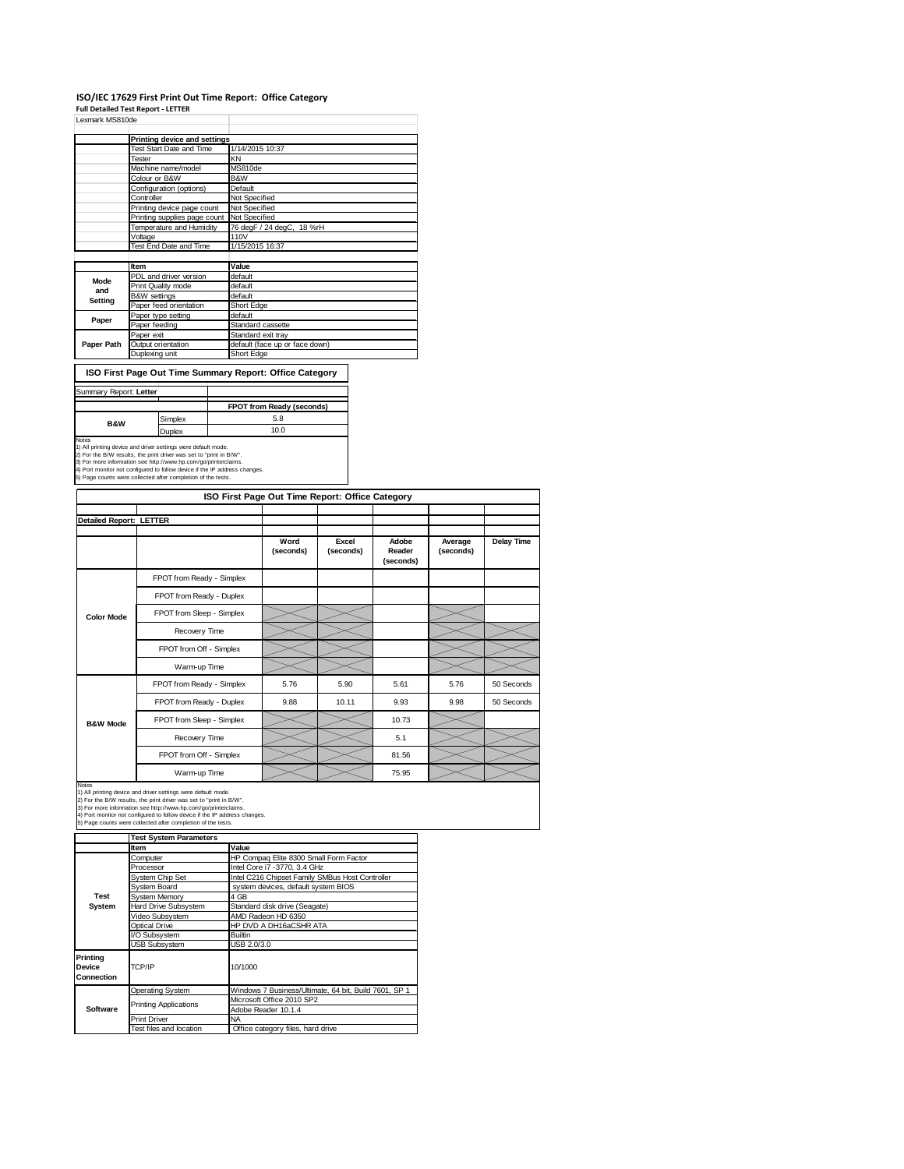### **ISO/IEC 17629 First Print Out Time Report: Office Category**

**Full Detailed Test Report ‐ LETTER**

| Lexmark MS810de |                                 |                                |  |  |  |
|-----------------|---------------------------------|--------------------------------|--|--|--|
|                 | Printing device and settings    |                                |  |  |  |
|                 | <b>Test Start Date and Time</b> | 1/14/2015 10:37                |  |  |  |
|                 | Tester                          | KN                             |  |  |  |
|                 | Machine name/model              | MS810de                        |  |  |  |
|                 | Colour or B&W                   | B&W                            |  |  |  |
|                 | Configuration (options)         | Default                        |  |  |  |
|                 | Controller                      | Not Specified                  |  |  |  |
|                 | Printing device page count      | Not Specified                  |  |  |  |
|                 | Printing supplies page count    | Not Specified                  |  |  |  |
|                 | Temperature and Humidity        | 76 degF / 24 degC, 18 %rH      |  |  |  |
|                 | Voltage                         | 110V                           |  |  |  |
|                 | Test End Date and Time          | 1/15/2015 16:37                |  |  |  |
|                 |                                 |                                |  |  |  |
|                 | Item                            | Value                          |  |  |  |
| Mode            | PDL and driver version          | default                        |  |  |  |
| and             | Print Quality mode              | default                        |  |  |  |
| Setting         | <b>B&amp;W</b> settings         | default                        |  |  |  |
|                 | Paper feed orientation          | Short Edge                     |  |  |  |
| Paper           | Paper type setting              | default                        |  |  |  |
|                 | Paper feeding                   | Standard cassette              |  |  |  |
|                 | Paper exit                      | Standard exit tray             |  |  |  |
| Paper Path      | Output orientation              | default (face up or face down) |  |  |  |
|                 | Duplexing unit                  | Short Edge                     |  |  |  |

**ISO First Page Out Time Summary Report: Office Category**

#### ry Report: Letter

| <b>SUITTIGHT REPORT LETTER</b> |         |                                  |
|--------------------------------|---------|----------------------------------|
|                                |         | <b>FPOT from Ready (seconds)</b> |
| <b>B&amp;W</b>                 | Simplex | 5.8                              |
|                                | Duplex  | 10.0                             |
| Notes                          |         |                                  |

Notes<br>1) All printing device and driver settings were default mode.<br>2) For the B/W results, the print driver was set to "print in B/W".<br>3) For more information see http://www.hp.com/go/printerclaims.<br>4) Port monitor not co

|                         |                           | ISO First Page Out Time Report: Office Category |                    |                              |                      |                   |
|-------------------------|---------------------------|-------------------------------------------------|--------------------|------------------------------|----------------------|-------------------|
| Detailed Report: LETTER |                           |                                                 |                    |                              |                      |                   |
|                         |                           | Word<br>(seconds)                               | Excel<br>(seconds) | Adobe<br>Reader<br>(seconds) | Average<br>(seconds) | <b>Delay Time</b> |
|                         | FPOT from Ready - Simplex |                                                 |                    |                              |                      |                   |
|                         | FPOT from Ready - Duplex  |                                                 |                    |                              |                      |                   |
| <b>Color Mode</b>       | FPOT from Sleep - Simplex |                                                 |                    |                              |                      |                   |
|                         | Recovery Time             |                                                 |                    |                              |                      |                   |
|                         | FPOT from Off - Simplex   |                                                 |                    |                              |                      |                   |
|                         | Warm-up Time              |                                                 |                    |                              |                      |                   |
|                         | FPOT from Ready - Simplex | 5.76                                            | 5.90               | 5.61                         | 5.76                 | 50 Seconds        |
|                         | FPOT from Ready - Duplex  | 9.88                                            | 10.11              | 9.93                         | 9.98                 | 50 Seconds        |
| <b>B&amp;W Mode</b>     | FPOT from Sleep - Simplex |                                                 |                    | 10.73                        |                      |                   |
|                         | Recovery Time             |                                                 |                    | 5.1                          |                      |                   |
|                         | FPOT from Off - Simplex   |                                                 |                    | 81.56                        |                      |                   |
|                         | Warm-up Time              |                                                 |                    | 75.95                        |                      |                   |

Notes<br>1) All printing device and driver settings were default mode.<br>2) For the B/W results, the print driver was set to "print in B/W".<br>3) For more information see http://www.hp.com/go/printerclaims.<br>4) Port monitor not co

| <b>Test System Parameters</b> |                                                       |  |  |  |
|-------------------------------|-------------------------------------------------------|--|--|--|
| Item                          | Value                                                 |  |  |  |
| Computer                      | HP Compag Elite 8300 Small Form Factor                |  |  |  |
| Processor                     | Intel Core i7 -3770, 3.4 GHz                          |  |  |  |
| System Chip Set               | Intel C216 Chipset Family SMBus Host Controller       |  |  |  |
| System Board                  | system devices, default system BIOS                   |  |  |  |
| <b>System Memory</b>          | 4 GB                                                  |  |  |  |
| Hard Drive Subsystem          | Standard disk drive (Seagate)                         |  |  |  |
| Video Subsystem               | AMD Radeon HD 6350                                    |  |  |  |
| Optical Drive                 | HP DVD A DH16aCSHR ATA                                |  |  |  |
| I/O Subsystem                 | <b>Builtin</b>                                        |  |  |  |
| <b>USB Subsystem</b>          | USB 2.0/3.0                                           |  |  |  |
| TCP/IP                        | 10/1000                                               |  |  |  |
| <b>Operating System</b>       | Windows 7 Business/Ultimate, 64 bit, Build 7601, SP 1 |  |  |  |
|                               | Microsoft Office 2010 SP2                             |  |  |  |
|                               | Adobe Reader 10.1.4                                   |  |  |  |
| <b>Print Driver</b>           | <b>NA</b>                                             |  |  |  |
| Test files and location       | Office category files, hard drive                     |  |  |  |
|                               | <b>Printing Applications</b>                          |  |  |  |